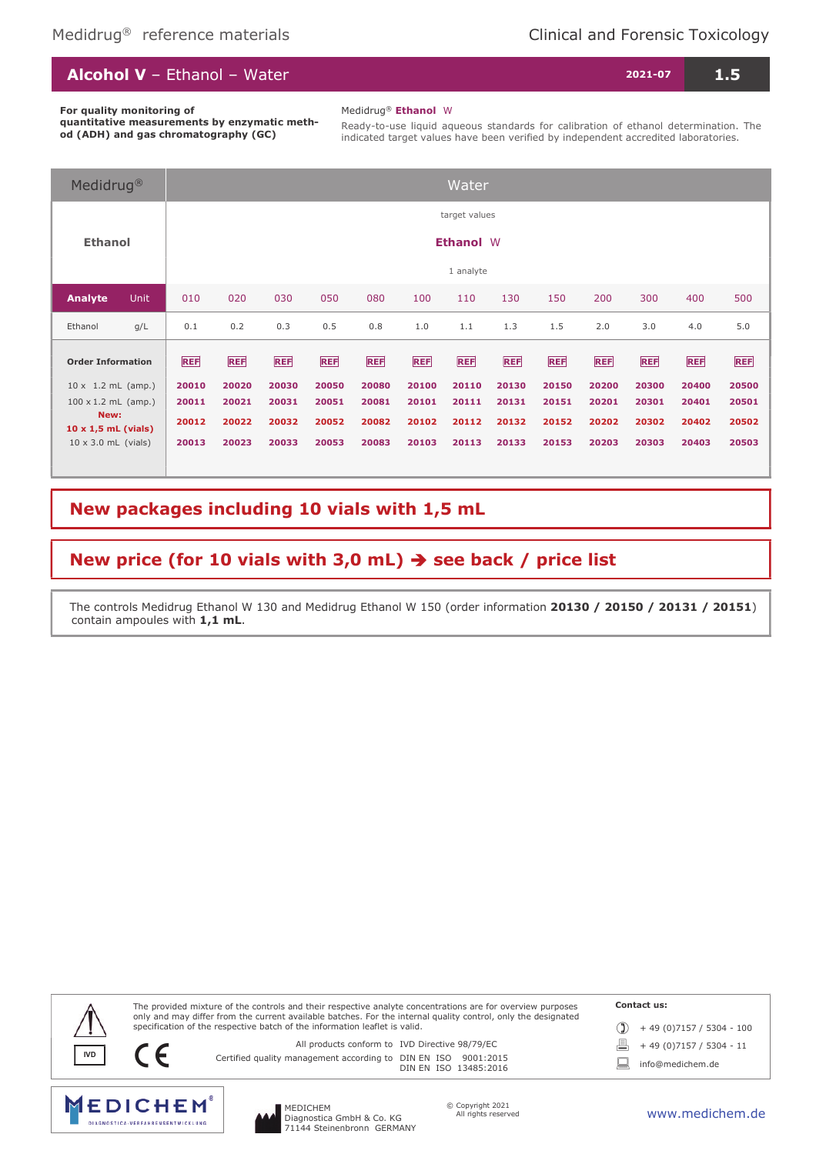| <b>Alcohol V</b> - Ethanol - Water<br>$2021-07$ $^{\circ}$ | 1.5 |
|------------------------------------------------------------|-----|
|                                                            |     |

For quality monitoring of

Medidrug® Ethanol W

quantitative measurements by enzymatic method (ADH) and gas chromatography (GC)

Ready-to-use liquid aqueous standards for calibration of ethanol determination. The indicated target values have been verified by independent accredited laboratories.

| Medidrug <sup>®</sup>                                           |             |                  |                |                |                |                |                | Water          |                |                |                |                |                |                |
|-----------------------------------------------------------------|-------------|------------------|----------------|----------------|----------------|----------------|----------------|----------------|----------------|----------------|----------------|----------------|----------------|----------------|
| <b>Ethanol</b>                                                  |             |                  |                |                |                |                |                | target values  |                |                |                |                |                |                |
|                                                                 |             | <b>Ethanol W</b> |                |                |                |                |                |                |                |                |                |                |                |                |
|                                                                 |             |                  |                |                |                |                |                | 1 analyte      |                |                |                |                |                |                |
| Analyte                                                         | <b>Unit</b> | 010              | 020            | 030            | 050            | 080            | 100            | 110            | 130            | 150            | 200            | 300            | 400            | 500            |
| Ethanol                                                         | g/L         | 0.1              | 0.2            | 0.3            | 0.5            | 0.8            | 1.0            | 1.1            | 1.3            | 1.5            | 2.0            | 3.0            | 4.0            | 5.0            |
| <b>Order Information</b>                                        |             | <b>REF</b>       | <b>REF</b>     | <b>REF</b>     | <b>REF</b>     | <b>REF</b>     | <b>REF</b>     | <b>REF</b>     | <b>REF</b>     | <b>REF</b>     | <b>REF</b>     | <b>REF</b>     | <b>REF</b>     | REF            |
| $10 \times 1.2$ mL (amp.)<br>$100 \times 1.2$ mL (amp.)<br>New: |             | 20010<br>20011   | 20020<br>20021 | 20030<br>20031 | 20050<br>20051 | 20080<br>20081 | 20100<br>20101 | 20110<br>20111 | 20130<br>20131 | 20150<br>20151 | 20200<br>20201 | 20300<br>20301 | 20400<br>20401 | 20500<br>20501 |
|                                                                 |             | 20012            | 20022          | 20032          | 20052          | 20082          | 20102          | 20112          | 20132          | 20152          | 20202          | 20302          | 20402          | 20502          |
| $10 \times 1,5$ mL (vials)<br>$10 \times 3.0$ mL (vials)        |             | 20013            | 20023          | 20033          | 20053          | 20083          | 20103          | 20113          | 20133          | 20153          | 20203          | 20303          | 20403          | 20503          |

## New packages including 10 vials with 1,5 mL

## New price (for 10 vials with 3,0 mL)  $\rightarrow$  see back / price list

The controls Medidrug Ethanol W 130 and Medidrug Ethanol W 150 (order information 20130 / 20150 / 20131 / 20151) contain ampoules with 1,1 mL.



MEDICHEM

**MEDICHEM DIAGNOSTICA VERFAHRENSENTWICKLUNG** 

Diagnostica GmbH & Co. KG 71144 Steinenbronn GERMANY

www.medichem.de